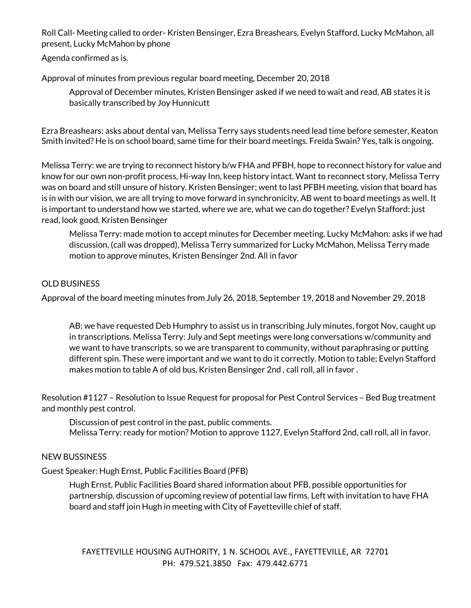Roll Call- Meeting called to order- Kristen Bensinger, Ezra Breashears, Evelyn Stafford, Lucky McMahon, all present, Lucky McMahon by phone

Agenda confirmed as is.

Approval of minutes from previous regular board meeting, December 20, 2018

Approval of December minutes, Kristen Bensinger asked if we need to wait and read, AB states it is basically transcribed by Joy Hunnicutt

Ezra Breashears: asks about dental van, Melissa Terry says students need lead time before semester, Keaton Smith invited? He is on school board, same time for their board meetings. Freida Swain? Yes, talk is ongoing.

Melissa Terry: we are trying to reconnect history b/w FHA and PFBH, hope to reconnect history for value and know for our own non-profit process, Hi-way Inn, keep history intact. Want to reconnect story, Melissa Terry was on board and still unsure of history. Kristen Bensinger; went to last PFBH meeting, vision that board has is in with our vision, we are all trying to move forward in synchronicity, AB went to board meetings as well. It is important to understand how we started, where we are, what we can do together? Evelyn Stafford: just read, look good. Kristen Bensinger

Melissa Terry: made motion to accept minutes for December meeting. Lucky McMahon: asks if we had discussion, (call was dropped), Melissa Terry summarized for Lucky McMahon, Melissa Terry made motion to approve minutes, Kristen Bensinger 2nd. All in favor

# OLD BUSINESS

Approval of the board meeting minutes from July 26, 2018, September 19, 2018 and November 29, 2018

AB: we have requested Deb Humphry to assist us in transcribing July minutes, forgot Nov, caught up in transcriptions. Melissa Terry: July and Sept meetings were long conversations w/community and we want to have transcripts, so we are transparent to community, without paraphrasing or putting different spin. These were important and we want to do it correctly. Motion to table; Evelyn Stafford makes motion to table A of old bus, Kristen Bensinger 2nd , call roll, all in favor .

Resolution #1127 – Resolution to Issue Request for proposal for Pest Control Services – Bed Bug treatment and monthly pest control.

Discussion of pest control in the past, public comments. Melissa Terry: ready for motion? Motion to approve 1127, Evelyn Stafford 2nd, call roll, all in favor.

### NEW BUSSINESS

Guest Speaker: Hugh Ernst, Public Facilities Board (PFB)

Hugh Ernst, Public Facilities Board shared information about PFB, possible opportunities for partnership, discussion of upcoming review of potential law firms. Left with invitation to have FHA board and staff join Hugh in meeting with City of Fayetteville chief of staff.

FAYETTEVILLE HOUSING AUTHORITY, 1 N. SCHOOL AVE., FAYETTEVILLE, AR 72701 PH: 479.521.3850 Fax: 479.442.6771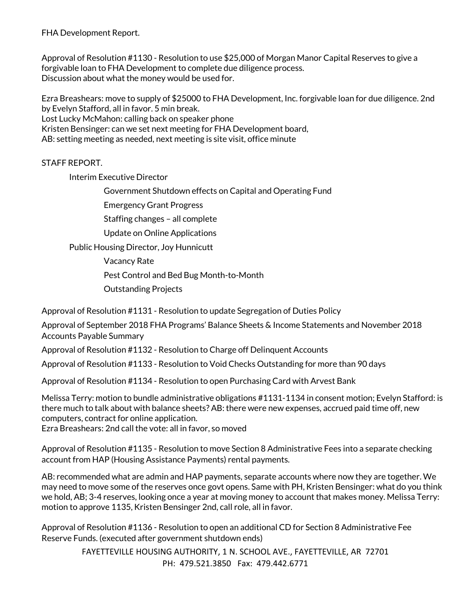FHA Development Report.

Approval of Resolution #1130 - Resolution to use \$25,000 of Morgan Manor Capital Reserves to give a forgivable loan to FHA Development to complete due diligence process. Discussion about what the money would be used for.

Ezra Breashears: move to supply of \$25000 to FHA Development, Inc. forgivable loan for due diligence. 2nd by Evelyn Stafford, all in favor. 5 min break.

Lost Lucky McMahon: calling back on speaker phone

Kristen Bensinger: can we set next meeting for FHA Development board,

AB: setting meeting as needed, next meeting is site visit, office minute

# STAFF REPORT.

Interim Executive Director

Government Shutdown effects on Capital and Operating Fund

Emergency Grant Progress

Staffing changes – all complete

Update on Online Applications

Public Housing Director, Joy Hunnicutt

Vacancy Rate

Pest Control and Bed Bug Month-to-Month

Outstanding Projects

Approval of Resolution #1131 - Resolution to update Segregation of Duties Policy

Approval of September 2018 FHA Programs' Balance Sheets & Income Statements and November 2018 Accounts Payable Summary

Approval of Resolution #1132 - Resolution to Charge off Delinquent Accounts

Approval of Resolution #1133 - Resolution to Void Checks Outstanding for more than 90 days

Approval of Resolution #1134 - Resolution to open Purchasing Card with Arvest Bank

Melissa Terry: motion to bundle administrative obligations #1131-1134 in consent motion; Evelyn Stafford: is there much to talk about with balance sheets? AB: there were new expenses, accrued paid time off, new computers, contract for online application.

Ezra Breashears: 2nd call the vote: all in favor, so moved

Approval of Resolution #1135 - Resolution to move Section 8 Administrative Fees into a separate checking account from HAP (Housing Assistance Payments) rental payments.

AB: recommended what are admin and HAP payments, separate accounts where now they are together. We may need to move some of the reserves once govt opens. Same with PH, Kristen Bensinger: what do you think we hold, AB; 3-4 reserves, looking once a year at moving money to account that makes money. Melissa Terry: motion to approve 1135, Kristen Bensinger 2nd, call role, all in favor.

Approval of Resolution #1136 - Resolution to open an additional CD for Section 8 Administrative Fee Reserve Funds. (executed after government shutdown ends)

> FAYETTEVILLE HOUSING AUTHORITY, 1 N. SCHOOL AVE., FAYETTEVILLE, AR 72701 PH: 479.521.3850 Fax: 479.442.6771